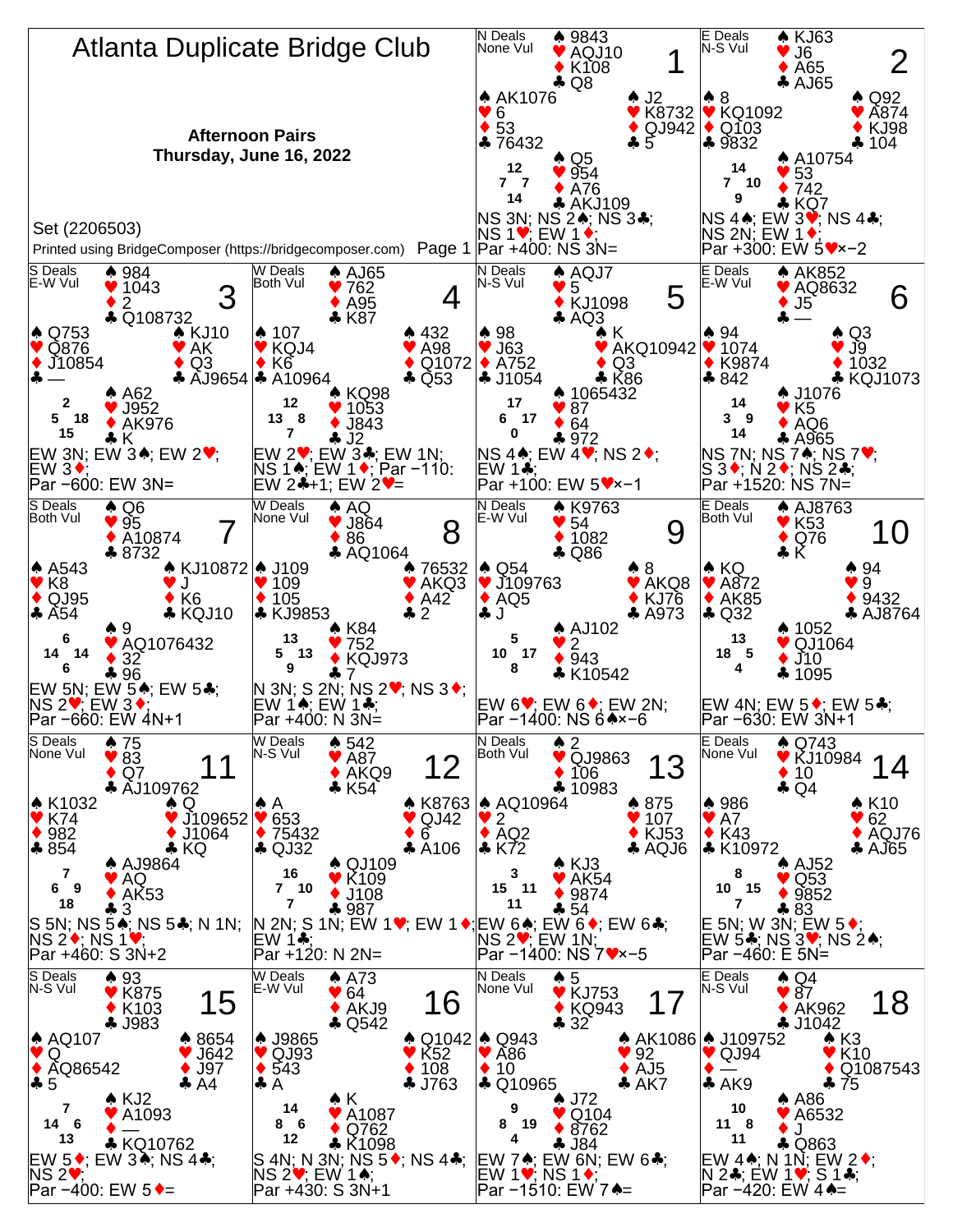